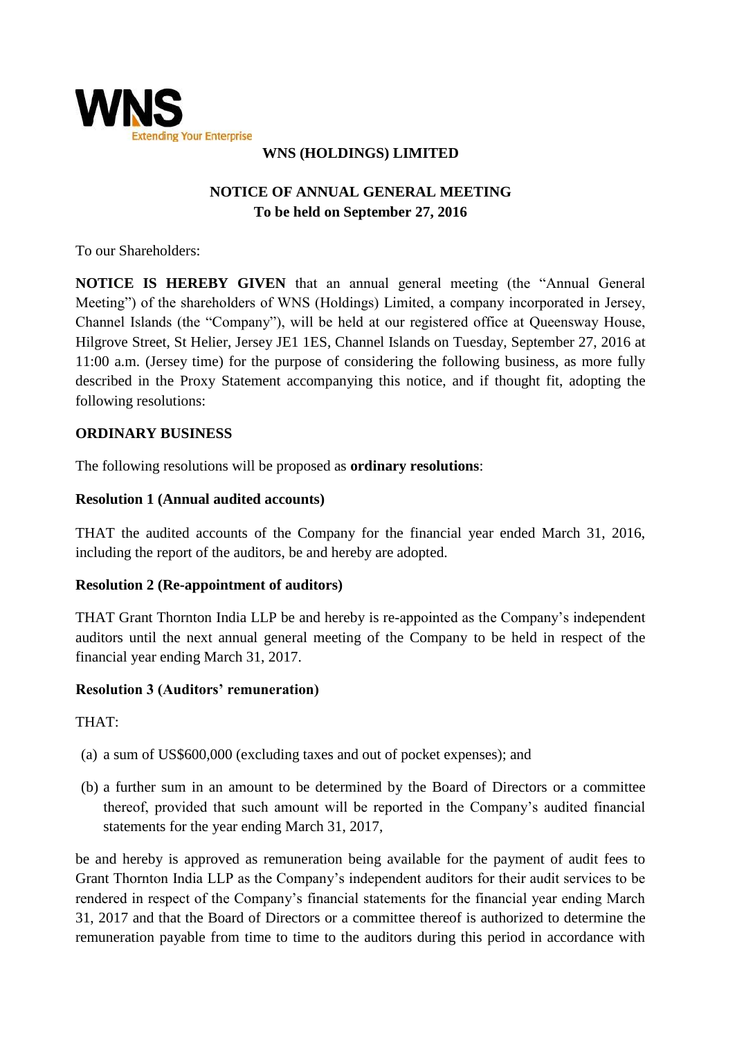

## **WNS (HOLDINGS) LIMITED**

# **NOTICE OF ANNUAL GENERAL MEETING To be held on September 27, 2016**

To our Shareholders:

**NOTICE IS HEREBY GIVEN** that an annual general meeting (the "Annual General Meeting") of the shareholders of WNS (Holdings) Limited, a company incorporated in Jersey, Channel Islands (the "Company"), will be held at our registered office at Queensway House, Hilgrove Street, St Helier, Jersey JE1 1ES, Channel Islands on Tuesday, September 27, 2016 at 11:00 a.m. (Jersey time) for the purpose of considering the following business, as more fully described in the Proxy Statement accompanying this notice, and if thought fit, adopting the following resolutions:

#### **ORDINARY BUSINESS**

The following resolutions will be proposed as **ordinary resolutions**:

#### **Resolution 1 (Annual audited accounts)**

THAT the audited accounts of the Company for the financial year ended March 31, 2016, including the report of the auditors, be and hereby are adopted.

#### **Resolution 2 (Re-appointment of auditors)**

THAT Grant Thornton India LLP be and hereby is re-appointed as the Company's independent auditors until the next annual general meeting of the Company to be held in respect of the financial year ending March 31, 2017.

#### **Resolution 3 (Auditors' remuneration)**

THAT:

- (a) a sum of US\$600,000 (excluding taxes and out of pocket expenses); and
- (b) a further sum in an amount to be determined by the Board of Directors or a committee thereof, provided that such amount will be reported in the Company's audited financial statements for the year ending March 31, 2017,

be and hereby is approved as remuneration being available for the payment of audit fees to Grant Thornton India LLP as the Company's independent auditors for their audit services to be rendered in respect of the Company's financial statements for the financial year ending March 31, 2017 and that the Board of Directors or a committee thereof is authorized to determine the remuneration payable from time to time to the auditors during this period in accordance with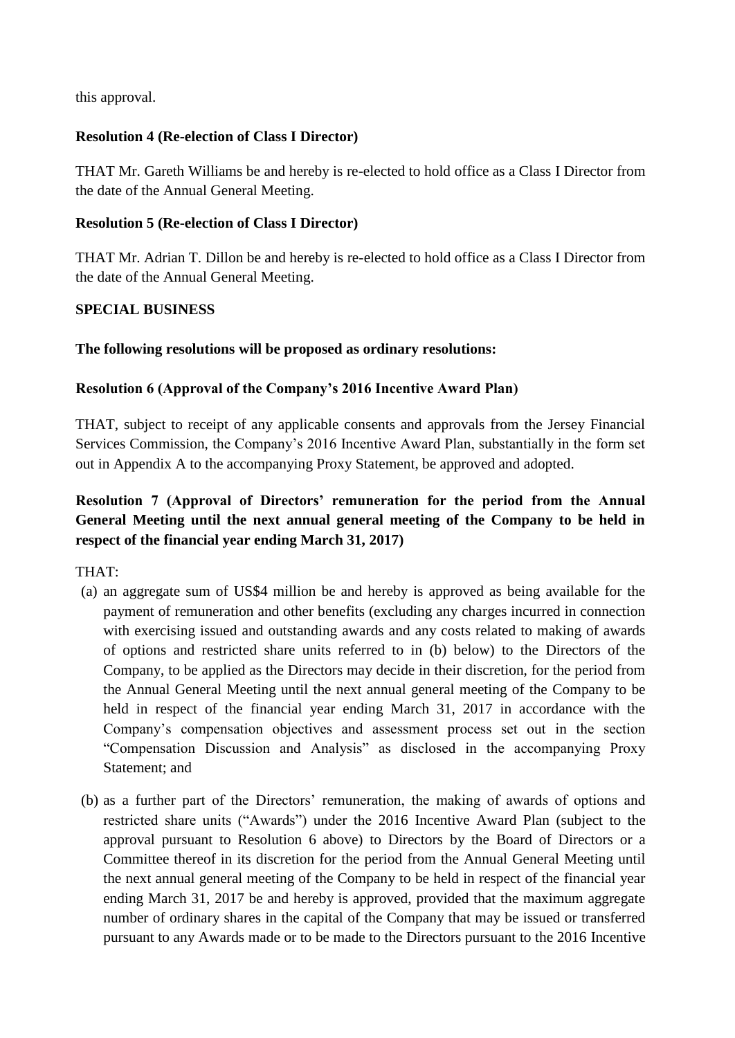this approval.

### **Resolution 4 (Re-election of Class I Director)**

THAT Mr. Gareth Williams be and hereby is re-elected to hold office as a Class I Director from the date of the Annual General Meeting.

#### **Resolution 5 (Re-election of Class I Director)**

THAT Mr. Adrian T. Dillon be and hereby is re-elected to hold office as a Class I Director from the date of the Annual General Meeting.

### **SPECIAL BUSINESS**

### **The following resolutions will be proposed as ordinary resolutions:**

### **Resolution 6 (Approval of the Company's 2016 Incentive Award Plan)**

THAT, subject to receipt of any applicable consents and approvals from the Jersey Financial Services Commission, the Company's 2016 Incentive Award Plan, substantially in the form set out in Appendix A to the accompanying Proxy Statement, be approved and adopted.

# **Resolution 7 (Approval of Directors' remuneration for the period from the Annual General Meeting until the next annual general meeting of the Company to be held in respect of the financial year ending March 31, 2017)**

THAT:

- (a) an aggregate sum of US\$4 million be and hereby is approved as being available for the payment of remuneration and other benefits (excluding any charges incurred in connection with exercising issued and outstanding awards and any costs related to making of awards of options and restricted share units referred to in (b) below) to the Directors of the Company, to be applied as the Directors may decide in their discretion, for the period from the Annual General Meeting until the next annual general meeting of the Company to be held in respect of the financial year ending March 31, 2017 in accordance with the Company's compensation objectives and assessment process set out in the section "Compensation Discussion and Analysis" as disclosed in the accompanying Proxy Statement; and
- (b) as a further part of the Directors' remuneration, the making of awards of options and restricted share units ("Awards") under the 2016 Incentive Award Plan (subject to the approval pursuant to Resolution 6 above) to Directors by the Board of Directors or a Committee thereof in its discretion for the period from the Annual General Meeting until the next annual general meeting of the Company to be held in respect of the financial year ending March 31, 2017 be and hereby is approved, provided that the maximum aggregate number of ordinary shares in the capital of the Company that may be issued or transferred pursuant to any Awards made or to be made to the Directors pursuant to the 2016 Incentive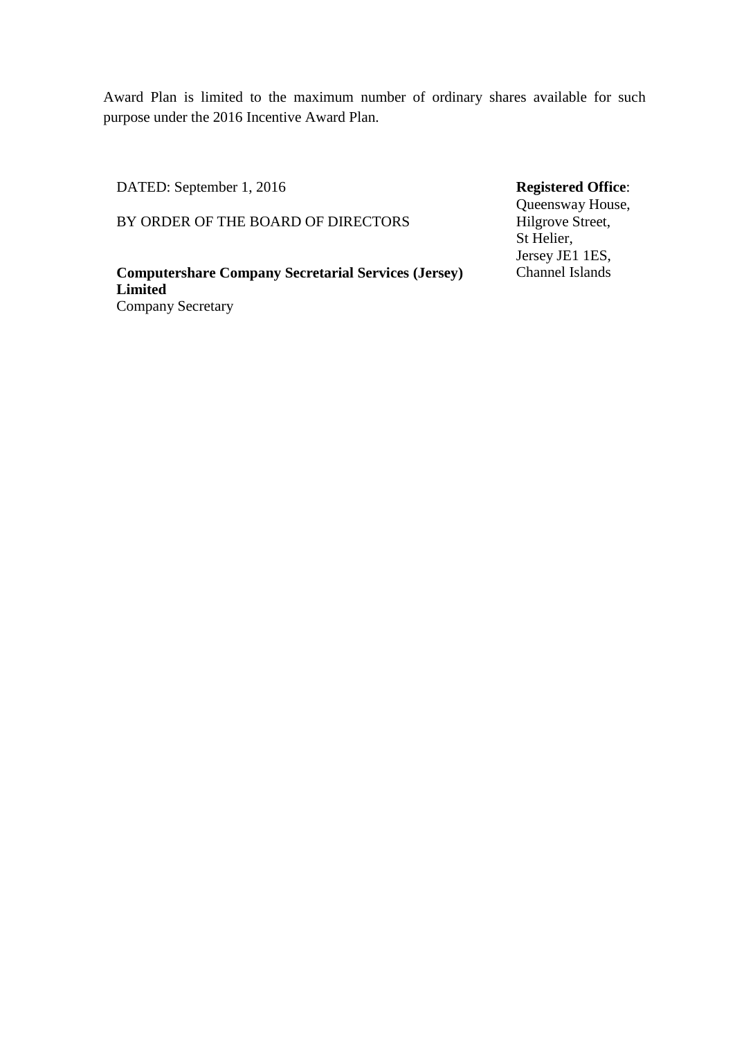Award Plan is limited to the maximum number of ordinary shares available for such purpose under the 2016 Incentive Award Plan.

DATED: September 1, 2016

BY ORDER OF THE BOARD OF DIRECTORS

**Computershare Company Secretarial Services (Jersey) Limited** Company Secretary

## **Registered Office**:

Queensway House, Hilgrove Street, St Helier, Jersey JE1 1ES, Channel Islands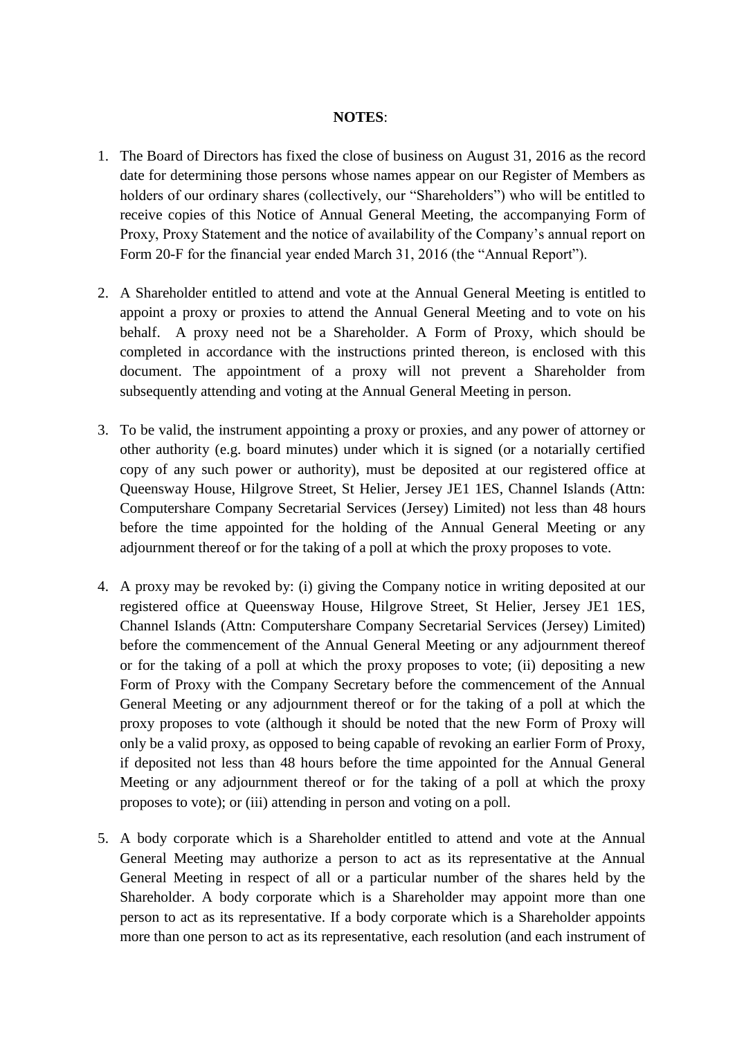#### **NOTES**:

- 1. The Board of Directors has fixed the close of business on August 31, 2016 as the record date for determining those persons whose names appear on our Register of Members as holders of our ordinary shares (collectively, our "Shareholders") who will be entitled to receive copies of this Notice of Annual General Meeting, the accompanying Form of Proxy, Proxy Statement and the notice of availability of the Company's annual report on Form 20-F for the financial year ended March 31, 2016 (the "Annual Report").
- 2. A Shareholder entitled to attend and vote at the Annual General Meeting is entitled to appoint a proxy or proxies to attend the Annual General Meeting and to vote on his behalf. A proxy need not be a Shareholder. A Form of Proxy, which should be completed in accordance with the instructions printed thereon, is enclosed with this document. The appointment of a proxy will not prevent a Shareholder from subsequently attending and voting at the Annual General Meeting in person.
- 3. To be valid, the instrument appointing a proxy or proxies, and any power of attorney or other authority (e.g. board minutes) under which it is signed (or a notarially certified copy of any such power or authority), must be deposited at our registered office at Queensway House, Hilgrove Street, St Helier, Jersey JE1 1ES, Channel Islands (Attn: Computershare Company Secretarial Services (Jersey) Limited) not less than 48 hours before the time appointed for the holding of the Annual General Meeting or any adjournment thereof or for the taking of a poll at which the proxy proposes to vote.
- 4. A proxy may be revoked by: (i) giving the Company notice in writing deposited at our registered office at Queensway House, Hilgrove Street, St Helier, Jersey JE1 1ES, Channel Islands (Attn: Computershare Company Secretarial Services (Jersey) Limited) before the commencement of the Annual General Meeting or any adjournment thereof or for the taking of a poll at which the proxy proposes to vote; (ii) depositing a new Form of Proxy with the Company Secretary before the commencement of the Annual General Meeting or any adjournment thereof or for the taking of a poll at which the proxy proposes to vote (although it should be noted that the new Form of Proxy will only be a valid proxy, as opposed to being capable of revoking an earlier Form of Proxy, if deposited not less than 48 hours before the time appointed for the Annual General Meeting or any adjournment thereof or for the taking of a poll at which the proxy proposes to vote); or (iii) attending in person and voting on a poll.
- 5. A body corporate which is a Shareholder entitled to attend and vote at the Annual General Meeting may authorize a person to act as its representative at the Annual General Meeting in respect of all or a particular number of the shares held by the Shareholder. A body corporate which is a Shareholder may appoint more than one person to act as its representative. If a body corporate which is a Shareholder appoints more than one person to act as its representative, each resolution (and each instrument of